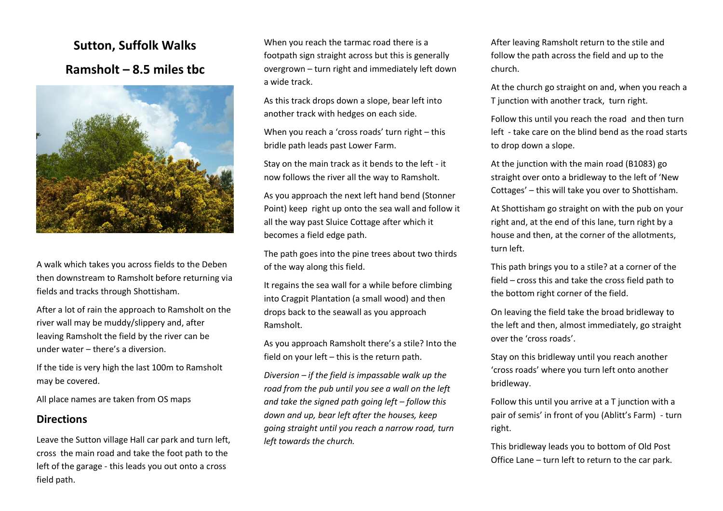## **Sutton, Suffolk Walks Ramsholt – 8.5 miles tbc**



A walk which takes you across fields to the Deben then downstream to Ramsholt before returning via fields and tracks through Shottisham.

After a lot of rain the approach to Ramsholt on the river wall may be muddy/slippery and, after leaving Ramsholt the field by the river can be under water – there's a diversion.

If the tide is very high the last 100m to Ramsholt may be covered.

All place names are taken from OS maps

## **Directions**

Leave the Sutton village Hall car park and turn left, cross the main road and take the foot path to the left of the garage - this leads you out onto a cross field path.

When you reach the tarmac road there is a footpath sign straight across but this is generally overgrown – turn right and immediately left down a wide track.

As this track drops down a slope, bear left into another track with hedges on each side.

When you reach a 'cross roads' turn right – this bridle path leads past Lower Farm.

Stay on the main track as it bends to the left - it now follows the river all the way to Ramsholt.

As you approach the next left hand bend (Stonner Point) keep right up onto the sea wall and follow it all the way past Sluice Cottage after which it becomes a field edge path.

The path goes into the pine trees about two thirds of the way along this field.

It regains the sea wall for a while before climbing into Cragpit Plantation (a small wood) and then drops back to the seawall as you approach Ramsholt.

As you approach Ramsholt there's a stile? Into the field on your left – this is the return path.

*Diversion – if the field is impassable walk up the road from the pub until you see a wall on the left and take the signed path going left – follow this down and up, bear left after the houses, keep going straight until you reach a narrow road, turn left towards the church.*

After leaving Ramsholt return to the stile and follow the path across the field and up to the church.

At the church go straight on and, when you reach a T junction with another track, turn right.

Follow this until you reach the road and then turn left - take care on the blind bend as the road starts to drop down a slope.

At the junction with the main road (B1083) go straight over onto a bridleway to the left of 'New Cottages' – this will take you over to Shottisham.

At Shottisham go straight on with the pub on your right and, at the end of this lane, turn right by a house and then, at the corner of the allotments, turn left.

This path brings you to a stile? at a corner of the field – cross this and take the cross field path to the bottom right corner of the field.

On leaving the field take the broad bridleway to the left and then, almost immediately, go straight over the 'cross roads'.

Stay on this bridleway until you reach another 'cross roads' where you turn left onto another bridleway.

Follow this until you arrive at a T junction with a pair of semis' in front of you (Ablitt's Farm) - turn right.

This bridleway leads you to bottom of Old Post Office Lane – turn left to return to the car park.